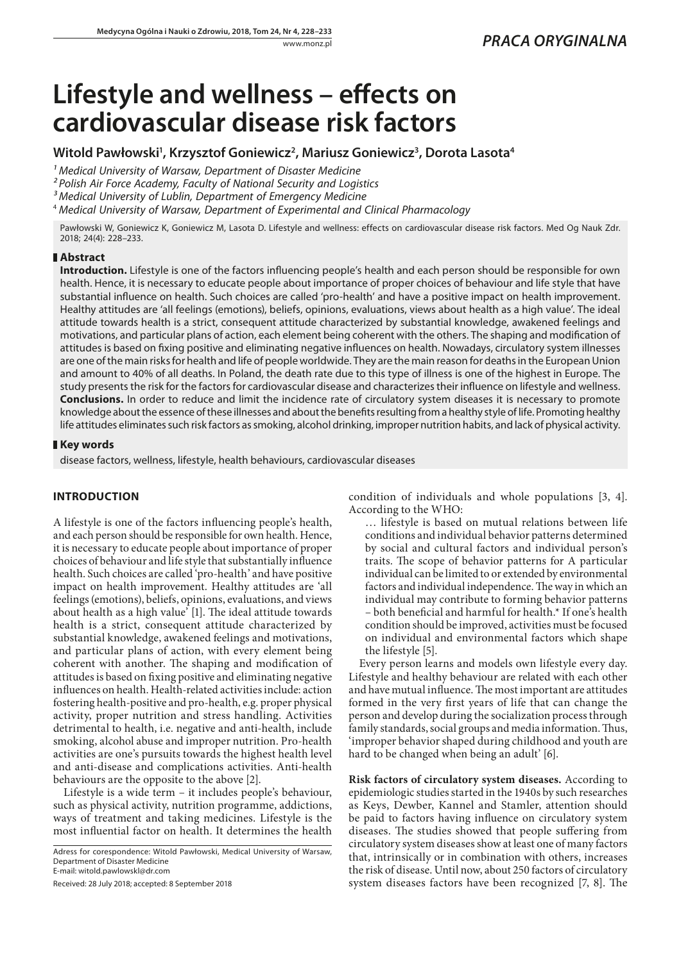# **Lifestyle and wellness – effects on cardiovascular disease risk factors**

## **Witold Pawłowski1 , Krzysztof Goniewicz2 , Mariusz Goniewicz3 , Dorota Lasota4**

<sup>1</sup> Medical University of Warsaw, Department of Disaster Medicine

*² Polish Air Force Academy, Faculty of National Security and Logistics*

*³ Medical University of Lublin, Department of Emergency Medicine*

<sup>4</sup> *Medical University of Warsaw, Department of Experimental and Clinical Pharmacology*

Pawłowski W, Goniewicz K, Goniewicz M, Lasota D. Lifestyle and wellness: effects on cardiovascular disease risk factors. Med Og Nauk Zdr. 2018; 24(4): 228–233.

#### **Abstract**

**Introduction.** Lifestyle is one of the factors influencing people's health and each person should be responsible for own health. Hence, it is necessary to educate people about importance of proper choices of behaviour and life style that have substantial influence on health. Such choices are called 'pro-health' and have a positive impact on health improvement. Healthy attitudes are 'all feelings (emotions), beliefs, opinions, evaluations, views about health as a high value'. The ideal attitude towards health is a strict, consequent attitude characterized by substantial knowledge, awakened feelings and motivations, and particular plans of action, each element being coherent with the others. The shaping and modification of attitudes is based on fixing positive and eliminating negative influences on health. Nowadays, circulatory system illnesses are one of the main risks for health and life of people worldwide. They are the main reason for deaths in the European Union and amount to 40% of all deaths. In Poland, the death rate due to this type of illness is one of the highest in Europe. The study presents the risk for the factors for cardiovascular disease and characterizes their influence on lifestyle and wellness. **Conclusions.** In order to reduce and limit the incidence rate of circulatory system diseases it is necessary to promote knowledge about the essence of these illnesses and about the benefits resulting from a healthy style of life. Promoting healthy life attitudes eliminates such risk factors as smoking, alcohol drinking, improper nutrition habits, and lack of physical activity.

#### **Key words**

disease factors, wellness, lifestyle, health behaviours, cardiovascular diseases

### **INTRODUCTION**

A lifestyle is one of the factors influencing people's health, and each person should be responsible for own health. Hence, it is necessary to educate people about importance of proper choices of behaviour and life style that substantially influence health. Such choices are called 'pro-health' and have positive impact on health improvement. Healthy attitudes are 'all feelings (emotions), beliefs, opinions, evaluations, and views about health as a high value' [1]. The ideal attitude towards health is a strict, consequent attitude characterized by substantial knowledge, awakened feelings and motivations, and particular plans of action, with every element being coherent with another. The shaping and modification of attitudes is based on fixing positive and eliminating negative influences on health. Health-related activities include: action fostering health-positive and pro-health, e.g. proper physical activity, proper nutrition and stress handling. Activities detrimental to health, i.e. negative and anti-health, include smoking, alcohol abuse and improper nutrition. Pro-health activities are one's pursuits towards the highest health level and anti-disease and complications activities. Anti-health behaviours are the opposite to the above [2].

Lifestyle is a wide term – it includes people's behaviour, such as physical activity, nutrition programme, addictions, ways of treatment and taking medicines. Lifestyle is the most influential factor on health. It determines the health

Adress for corespondence: Witold Pawłowski, Medical University of Warsaw, Department of Disaster Medicine E-mail: [witold.pawlowskl@dr.com](mailto:witold.pawlowskl@dr.com)

Received: 28 July 2018; accepted: 8 September 2018

condition of individuals and whole populations [3, 4]. According to the WHO:

… lifestyle is based on mutual relations between life conditions and individual behavior patterns determined by social and cultural factors and individual person's traits. The scope of behavior patterns for A particular individual can be limited to or extended by environmental factors and individual independence. The way in which an individual may contribute to forming behavior patterns – both beneficial and harmful for health.\* If one's health condition should be improved, activities must be focused on individual and environmental factors which shape the lifestyle [5].

Every person learns and models own lifestyle every day. Lifestyle and healthy behaviour are related with each other and have mutual influence. The most important are attitudes formed in the very first years of life that can change the person and develop during the socialization process through family standards, social groups and media information. Thus, 'improper behavior shaped during childhood and youth are hard to be changed when being an adult' [6].

**Risk factors of circulatory system diseases.** According to epidemiologic studies started in the 1940s by such researches as Keys, Dewber, Kannel and Stamler, attention should be paid to factors having influence on circulatory system diseases. The studies showed that people suffering from circulatory system diseases show at least one of many factors that, intrinsically or in combination with others, increases the risk of disease. Until now, about 250 factors of circulatory system diseases factors have been recognized [7, 8]. The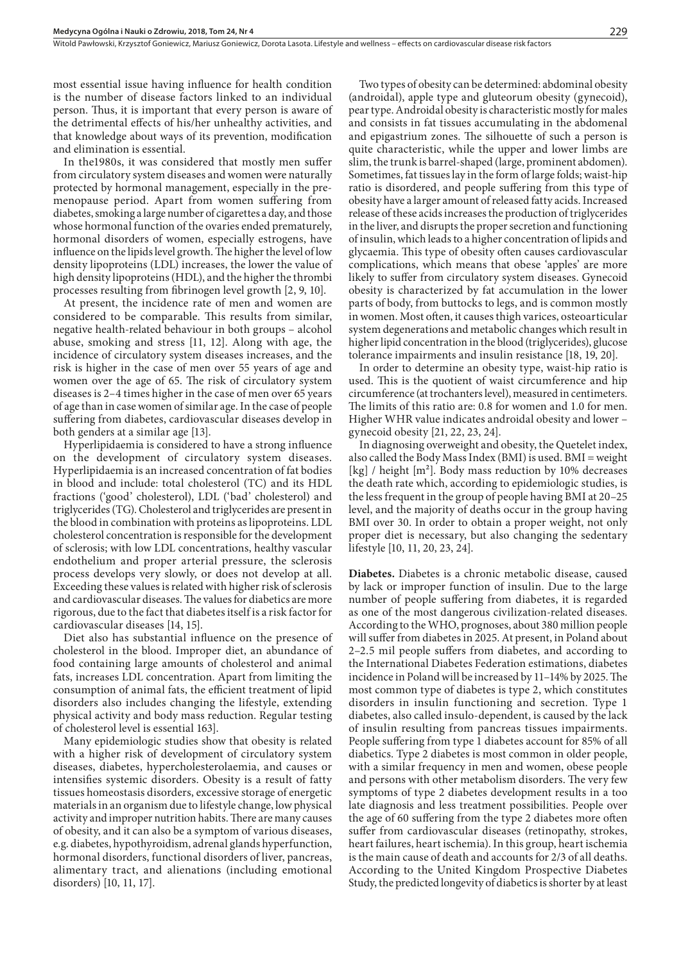most essential issue having influence for health condition is the number of disease factors linked to an individual person. Thus, it is important that every person is aware of the detrimental effects of his/her unhealthy activities, and that knowledge about ways of its prevention, modification and elimination is essential.

In the1980s, it was considered that mostly men suffer from circulatory system diseases and women were naturally protected by hormonal management, especially in the premenopause period. Apart from women suffering from diabetes, smoking a large number of cigarettes a day, and those whose hormonal function of the ovaries ended prematurely, hormonal disorders of women, especially estrogens, have influence on the lipids level growth. The higher the level of low density lipoproteins (LDL) increases, the lower the value of high density lipoproteins (HDL), and the higher the thrombi processes resulting from fibrinogen level growth [2, 9, 10].

At present, the incidence rate of men and women are considered to be comparable. This results from similar, negative health-related behaviour in both groups – alcohol abuse, smoking and stress [11, 12]. Along with age, the incidence of circulatory system diseases increases, and the risk is higher in the case of men over 55 years of age and women over the age of 65. The risk of circulatory system diseases is 2–4 times higher in the case of men over 65 years of age than in case women of similar age. In the case of people suffering from diabetes, cardiovascular diseases develop in both genders at a similar age [13].

Hyperlipidaemia is considered to have a strong influence on the development of circulatory system diseases. Hyperlipidaemia is an increased concentration of fat bodies in blood and include: total cholesterol (TC) and its HDL fractions ('good' cholesterol), LDL ('bad' cholesterol) and triglycerides (TG). Cholesterol and triglycerides are present in the blood in combination with proteins as lipoproteins. LDL cholesterol concentration is responsible for the development of sclerosis; with low LDL concentrations, healthy vascular endothelium and proper arterial pressure, the sclerosis process develops very slowly, or does not develop at all. Exceeding these values is related with higher risk of sclerosis and cardiovascular diseases. The values for diabetics are more rigorous, due to the fact that diabetes itself is a risk factor for cardiovascular diseases [14, 15].

Diet also has substantial influence on the presence of cholesterol in the blood. Improper diet, an abundance of food containing large amounts of cholesterol and animal fats, increases LDL concentration. Apart from limiting the consumption of animal fats, the efficient treatment of lipid disorders also includes changing the lifestyle, extending physical activity and body mass reduction. Regular testing of cholesterol level is essential 163].

Many epidemiologic studies show that obesity is related with a higher risk of development of circulatory system diseases, diabetes, hypercholesterolaemia, and causes or intensifies systemic disorders. Obesity is a result of fatty tissues homeostasis disorders, excessive storage of energetic materials in an organism due to lifestyle change, low physical activity and improper nutrition habits. There are many causes of obesity, and it can also be a symptom of various diseases, e.g. diabetes, hypothyroidism, adrenal glands hyperfunction, hormonal disorders, functional disorders of liver, pancreas, alimentary tract, and alienations (including emotional disorders) [10, 11, 17].

Two types of obesity can be determined: abdominal obesity (androidal), apple type and gluteorum obesity (gynecoid), pear type. Androidal obesity is characteristic mostly for males and consists in fat tissues accumulating in the abdomenal and epigastrium zones. The silhouette of such a person is quite characteristic, while the upper and lower limbs are slim, the trunk is barrel-shaped (large, prominent abdomen). Sometimes, fat tissues lay in the form of large folds; waist-hip ratio is disordered, and people suffering from this type of obesity have a larger amount of released fatty acids. Increased release of these acids increases the production of triglycerides in the liver, and disrupts the proper secretion and functioning of insulin, which leads to a higher concentration of lipids and glycaemia. This type of obesity often causes cardiovascular complications, which means that obese 'apples' are more likely to suffer from circulatory system diseases. Gynecoid obesity is characterized by fat accumulation in the lower parts of body, from buttocks to legs, and is common mostly in women. Most often, it causes thigh varices, osteoarticular system degenerations and metabolic changes which result in higher lipid concentration in the blood (triglycerides), glucose tolerance impairments and insulin resistance [18, 19, 20].

In order to determine an obesity type, waist-hip ratio is used. This is the quotient of waist circumference and hip circumference (at trochanters level), measured in centimeters. The limits of this ratio are: 0.8 for women and 1.0 for men. Higher WHR value indicates androidal obesity and lower – gynecoid obesity [21, 22, 23, 24].

In diagnosing overweight and obesity, the Quetelet index, also called the Body Mass Index (BMI) is used. BMI = weight [kg] / height  $[m^2]$ . Body mass reduction by 10% decreases the death rate which, according to epidemiologic studies, is the less frequent in the group of people having BMI at 20–25 level, and the majority of deaths occur in the group having BMI over 30. In order to obtain a proper weight, not only proper diet is necessary, but also changing the sedentary lifestyle [10, 11, 20, 23, 24].

**Diabetes.** Diabetes is a chronic metabolic disease, caused by lack or improper function of insulin. Due to the large number of people suffering from diabetes, it is regarded as one of the most dangerous civilization-related diseases. According to the WHO, prognoses, about 380 million people will suffer from diabetes in 2025. At present, in Poland about 2–2.5 mil people suffers from diabetes, and according to the International Diabetes Federation estimations, diabetes incidence in Poland will be increased by 11–14% by 2025. The most common type of diabetes is type 2, which constitutes disorders in insulin functioning and secretion. Type 1 diabetes, also called insulo-dependent, is caused by the lack of insulin resulting from pancreas tissues impairments. People suffering from type 1 diabetes account for 85% of all diabetics. Type 2 diabetes is most common in older people, with a similar frequency in men and women, obese people and persons with other metabolism disorders. The very few symptoms of type 2 diabetes development results in a too late diagnosis and less treatment possibilities. People over the age of 60 suffering from the type 2 diabetes more often suffer from cardiovascular diseases (retinopathy, strokes, heart failures, heart ischemia). In this group, heart ischemia is the main cause of death and accounts for 2/3 of all deaths. According to the United Kingdom Prospective Diabetes Study, the predicted longevity of diabetics is shorter by at least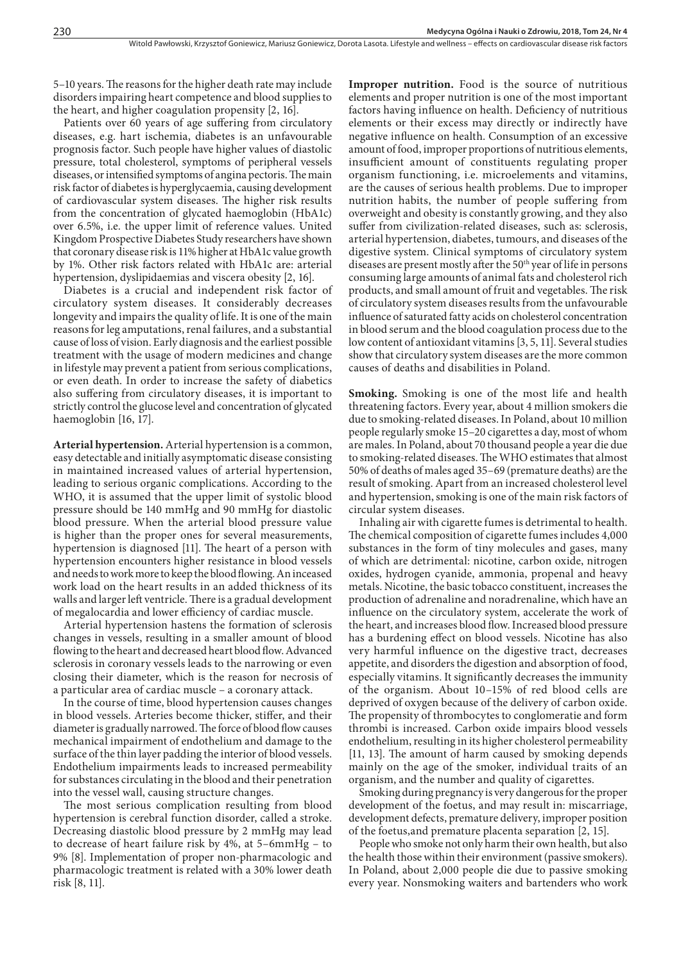5–10 years. The reasons for the higher death rate may include disorders impairing heart competence and blood supplies to the heart, and higher coagulation propensity [2, 16].

Patients over 60 years of age suffering from circulatory diseases, e.g. hart ischemia, diabetes is an unfavourable prognosis factor. Such people have higher values of diastolic pressure, total cholesterol, symptoms of peripheral vessels diseases, or intensified symptoms of angina pectoris. The main risk factor of diabetes is hyperglycaemia, causing development of cardiovascular system diseases. The higher risk results from the concentration of glycated haemoglobin (HbA1c) over 6.5%, i.e. the upper limit of reference values. United Kingdom Prospective Diabetes Study researchers have shown that coronary disease risk is 11% higher at HbA1c value growth by 1%. Other risk factors related with HbA1c are: arterial hypertension, dyslipidaemias and viscera obesity [2, 16].

Diabetes is a crucial and independent risk factor of circulatory system diseases. It considerably decreases longevity and impairs the quality of life. It is one of the main reasons for leg amputations, renal failures, and a substantial cause of loss of vision. Early diagnosis and the earliest possible treatment with the usage of modern medicines and change in lifestyle may prevent a patient from serious complications, or even death. In order to increase the safety of diabetics also suffering from circulatory diseases, it is important to strictly control the glucose level and concentration of glycated haemoglobin [16, 17].

**Arterial hypertension.** Arterial hypertension is a common, easy detectable and initially asymptomatic disease consisting in maintained increased values of arterial hypertension, leading to serious organic complications. According to the WHO, it is assumed that the upper limit of systolic blood pressure should be 140 mmHg and 90 mmHg for diastolic blood pressure. When the arterial blood pressure value is higher than the proper ones for several measurements, hypertension is diagnosed [11]. The heart of a person with hypertension encounters higher resistance in blood vessels and needs to work more to keep the blood flowing. An inceased work load on the heart results in an added thickness of its walls and larger left ventricle. There is a gradual development of megalocardia and lower efficiency of cardiac muscle.

Arterial hypertension hastens the formation of sclerosis changes in vessels, resulting in a smaller amount of blood flowing to the heart and decreased heart blood flow. Advanced sclerosis in coronary vessels leads to the narrowing or even closing their diameter, which is the reason for necrosis of a particular area of cardiac muscle – a coronary attack.

In the course of time, blood hypertension causes changes in blood vessels. Arteries become thicker, stiffer, and their diameter is gradually narrowed. The force of blood flow causes mechanical impairment of endothelium and damage to the surface of the thin layer padding the interior of blood vessels. Endothelium impairments leads to increased permeability for substances circulating in the blood and their penetration into the vessel wall, causing structure changes.

The most serious complication resulting from blood hypertension is cerebral function disorder, called a stroke. Decreasing diastolic blood pressure by 2 mmHg may lead to decrease of heart failure risk by 4%, at 5–6mmHg – to 9% [8]. Implementation of proper non-pharmacologic and pharmacologic treatment is related with a 30% lower death risk [8, 11].

**Improper nutrition.** Food is the source of nutritious elements and proper nutrition is one of the most important factors having influence on health. Deficiency of nutritious elements or their excess may directly or indirectly have negative influence on health. Consumption of an excessive amount of food, improper proportions of nutritious elements, insufficient amount of constituents regulating proper organism functioning, i.e. microelements and vitamins, are the causes of serious health problems. Due to improper nutrition habits, the number of people suffering from overweight and obesity is constantly growing, and they also suffer from civilization-related diseases, such as: sclerosis, arterial hypertension, diabetes, tumours, and diseases of the digestive system. Clinical symptoms of circulatory system diseases are present mostly after the 50<sup>th</sup> year of life in persons consuming large amounts of animal fats and cholesterol rich products, and small amount of fruit and vegetables. The risk of circulatory system diseases results from the unfavourable influence of saturated fatty acids on cholesterol concentration in blood serum and the blood coagulation process due to the low content of antioxidant vitamins [3, 5, 11]. Several studies show that circulatory system diseases are the more common causes of deaths and disabilities in Poland.

**Smoking.** Smoking is one of the most life and health threatening factors. Every year, about 4 million smokers die due to smoking-related diseases. In Poland, about 10 million people regularly smoke 15–20 cigarettes a day, most of whom are males. In Poland, about 70 thousand people a year die due to smoking-related diseases. The WHO estimates that almost 50% of deaths of males aged 35–69 (premature deaths) are the result of smoking. Apart from an increased cholesterol level and hypertension, smoking is one of the main risk factors of circular system diseases.

Inhaling air with cigarette fumes is detrimental to health. The chemical composition of cigarette fumes includes 4,000 substances in the form of tiny molecules and gases, many of which are detrimental: nicotine, carbon oxide, nitrogen oxides, hydrogen cyanide, ammonia, propenal and heavy metals. Nicotine, the basic tobacco constituent, increases the production of adrenaline and noradrenaline, which have an influence on the circulatory system, accelerate the work of the heart, and increases blood flow. Increased blood pressure has a burdening effect on blood vessels. Nicotine has also very harmful influence on the digestive tract, decreases appetite, and disorders the digestion and absorption of food, especially vitamins. It significantly decreases the immunity of the organism. About 10–15% of red blood cells are deprived of oxygen because of the delivery of carbon oxide. The propensity of thrombocytes to conglomeratie and form thrombi is increased. Carbon oxide impairs blood vessels endothelium, resulting in its higher cholesterol permeability [11, 13]. The amount of harm caused by smoking depends mainly on the age of the smoker, individual traits of an organism, and the number and quality of cigarettes.

Smoking during pregnancy is very dangerous for the proper development of the foetus, and may result in: miscarriage, development defects, premature delivery, improper position of the foetus,and premature placenta separation [2, 15].

People who smoke not only harm their own health, but also the health those within their environment (passive smokers). In Poland, about 2,000 people die due to passive smoking every year. Nonsmoking waiters and bartenders who work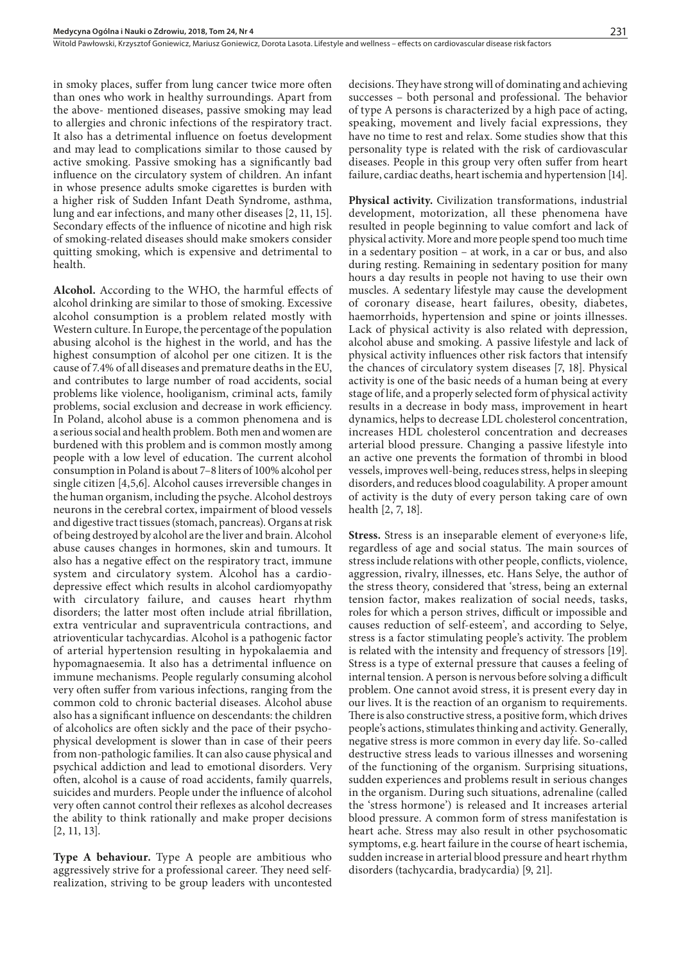in smoky places, suffer from lung cancer twice more often than ones who work in healthy surroundings. Apart from the above- mentioned diseases, passive smoking may lead to allergies and chronic infections of the respiratory tract. It also has a detrimental influence on foetus development and may lead to complications similar to those caused by active smoking. Passive smoking has a significantly bad influence on the circulatory system of children. An infant in whose presence adults smoke cigarettes is burden with a higher risk of Sudden Infant Death Syndrome, asthma, lung and ear infections, and many other diseases [2, 11, 15]. Secondary effects of the influence of nicotine and high risk of smoking-related diseases should make smokers consider quitting smoking, which is expensive and detrimental to health.

**Alcohol.** According to the WHO, the harmful effects of alcohol drinking are similar to those of smoking. Excessive alcohol consumption is a problem related mostly with Western culture. In Europe, the percentage of the population abusing alcohol is the highest in the world, and has the highest consumption of alcohol per one citizen. It is the cause of 7.4% of all diseases and premature deaths in the EU, and contributes to large number of road accidents, social problems like violence, hooliganism, criminal acts, family problems, social exclusion and decrease in work efficiency. In Poland, alcohol abuse is a common phenomena and is a serious social and health problem. Both men and women are burdened with this problem and is common mostly among people with a low level of education. The current alcohol consumption in Poland is about 7–8 liters of 100% alcohol per single citizen [4,5,6]. Alcohol causes irreversible changes in the human organism, including the psyche. Alcohol destroys neurons in the cerebral cortex, impairment of blood vessels and digestive tract tissues (stomach, pancreas). Organs at risk of being destroyed by alcohol are the liver and brain. Alcohol abuse causes changes in hormones, skin and tumours. It also has a negative effect on the respiratory tract, immune system and circulatory system. Alcohol has a cardiodepressive effect which results in alcohol cardiomyopathy with circulatory failure, and causes heart rhythm disorders; the latter most often include atrial fibrillation, extra ventricular and supraventricula contractions, and atrioventicular tachycardias. Alcohol is a pathogenic factor of arterial hypertension resulting in hypokalaemia and hypomagnaesemia. It also has a detrimental influence on immune mechanisms. People regularly consuming alcohol very often suffer from various infections, ranging from the common cold to chronic bacterial diseases. Alcohol abuse also has a significant influence on descendants: the children of alcoholics are often sickly and the pace of their psychophysical development is slower than in case of their peers from non-pathologic families. It can also cause physical and psychical addiction and lead to emotional disorders. Very often, alcohol is a cause of road accidents, family quarrels, suicides and murders. People under the influence of alcohol very often cannot control their reflexes as alcohol decreases the ability to think rationally and make proper decisions [2, 11, 13].

**Type A behaviour.** Type A people are ambitious who aggressively strive for a professional career. They need selfrealization, striving to be group leaders with uncontested decisions. They have strong will of dominating and achieving successes – both personal and professional. The behavior of type A persons is characterized by a high pace of acting, speaking, movement and lively facial expressions, they have no time to rest and relax. Some studies show that this personality type is related with the risk of cardiovascular diseases. People in this group very often suffer from heart failure, cardiac deaths, heart ischemia and hypertension [14].

**Physical activity.** Civilization transformations, industrial development, motorization, all these phenomena have resulted in people beginning to value comfort and lack of physical activity. More and more people spend too much time in a sedentary position – at work, in a car or bus, and also during resting. Remaining in sedentary position for many hours a day results in people not having to use their own muscles. A sedentary lifestyle may cause the development of coronary disease, heart failures, obesity, diabetes, haemorrhoids, hypertension and spine or joints illnesses. Lack of physical activity is also related with depression, alcohol abuse and smoking. A passive lifestyle and lack of physical activity influences other risk factors that intensify the chances of circulatory system diseases [7, 18]. Physical activity is one of the basic needs of a human being at every stage of life, and a properly selected form of physical activity results in a decrease in body mass, improvement in heart dynamics, helps to decrease LDL cholesterol concentration, increases HDL cholesterol concentration and decreases arterial blood pressure. Changing a passive lifestyle into an active one prevents the formation of thrombi in blood vessels, improves well-being, reduces stress, helps in sleeping disorders, and reduces blood coagulability. A proper amount of activity is the duty of every person taking care of own health [2, 7, 18].

**Stress.** Stress is an inseparable element of everyone›s life, regardless of age and social status. The main sources of stress include relations with other people, conflicts, violence, aggression, rivalry, illnesses, etc. Hans Selye, the author of the stress theory, considered that 'stress, being an external tension factor, makes realization of social needs, tasks, roles for which a person strives, difficult or impossible and causes reduction of self-esteem', and according to Selye, stress is a factor stimulating people's activity. The problem is related with the intensity and frequency of stressors [19]. Stress is a type of external pressure that causes a feeling of internal tension. A person is nervous before solving a difficult problem. One cannot avoid stress, it is present every day in our lives. It is the reaction of an organism to requirements. There is also constructive stress, a positive form, which drives people's actions, stimulates thinking and activity. Generally, negative stress is more common in every day life. So-called destructive stress leads to various illnesses and worsening of the functioning of the organism. Surprising situations, sudden experiences and problems result in serious changes in the organism. During such situations, adrenaline (called the 'stress hormone') is released and It increases arterial blood pressure. A common form of stress manifestation is heart ache. Stress may also result in other psychosomatic symptoms, e.g. heart failure in the course of heart ischemia, sudden increase in arterial blood pressure and heart rhythm disorders (tachycardia, bradycardia) [9, 21].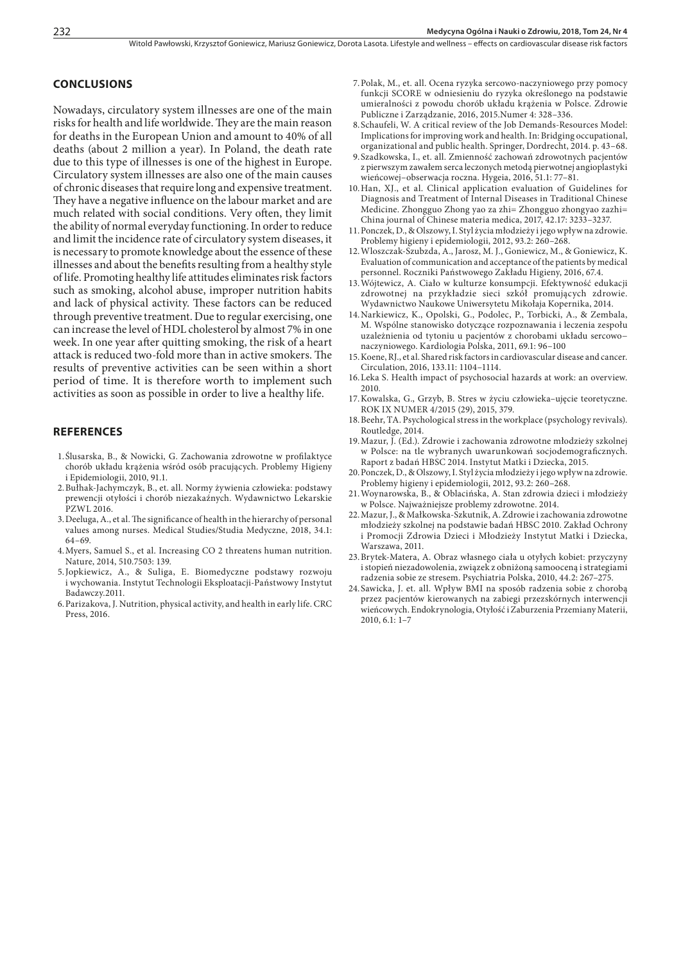#### **CONCLUSIONS**

Nowadays, circulatory system illnesses are one of the main risks for health and life worldwide. They are the main reason for deaths in the European Union and amount to 40% of all deaths (about 2 million a year). In Poland, the death rate due to this type of illnesses is one of the highest in Europe. Circulatory system illnesses are also one of the main causes of chronic diseases that require long and expensive treatment. They have a negative influence on the labour market and are much related with social conditions. Very often, they limit the ability of normal everyday functioning. In order to reduce and limit the incidence rate of circulatory system diseases, it is necessary to promote knowledge about the essence of these illnesses and about the benefits resulting from a healthy style of life. Promoting healthy life attitudes eliminates risk factors such as smoking, alcohol abuse, improper nutrition habits and lack of physical activity. These factors can be reduced through preventive treatment. Due to regular exercising, one can increase the level of HDL cholesterol by almost 7% in one week. In one year after quitting smoking, the risk of a heart attack is reduced two-fold more than in active smokers. The results of preventive activities can be seen within a short period of time. It is therefore worth to implement such activities as soon as possible in order to live a healthy life.

#### **REFERENCES**

- 1.Ślusarska, B., & Nowicki, G. Zachowania zdrowotne w profilaktyce chorób układu krążenia wśród osób pracujących. Problemy Higieny i Epidemiologii, 2010, 91.1.
- 2.Bułhak-Jachymczyk, B., et. all. Normy żywienia człowieka: podstawy prewencji otyłości i chorób niezakaźnych. Wydawnictwo Lekarskie PZWL 2016.
- 3.Deeluga, A., et al. The significance of health in the hierarchy of personal values among nurses. Medical Studies/Studia Medyczne, 2018, 34.1: 64–69.
- 4.Myers, Samuel S., et al. Increasing CO 2 threatens human nutrition. Nature, 2014, 510.7503: 139.
- 5.Jopkiewicz, A., & Suliga, E. Biomedyczne podstawy rozwoju i wychowania. Instytut Technologii Eksploatacji-Państwowy Instytut Badawczy.2011.
- 6.Parizakova, J. Nutrition, physical activity, and health in early life. CRC Press, 2016.
- 7.Polak, M., et. all. Ocena ryzyka sercowo-naczyniowego przy pomocy funkcji SCORE w odniesieniu do ryzyka określonego na podstawie umieralności z powodu chorób układu krążenia w Polsce. Zdrowie Publiczne i Zarządzanie, 2016, 2015.Numer 4: 328–336.
- 8.Schaufeli, W. A critical review of the Job Demands-Resources Model: Implications for improving work and health. In: Bridging occupational, organizational and public health. Springer, Dordrecht, 2014. p. 43–68.
- 9.Szadkowska, I., et. all. Zmienność zachowań zdrowotnych pacjentów z pierwszym zawałem serca leczonych metodą pierwotnej angioplastyki wieńcowej–obserwacja roczna. Hygeia, 2016, 51.1: 77–81.
- 10.Han, XJ., et al. Clinical application evaluation of Guidelines for Diagnosis and Treatment of Internal Diseases in Traditional Chinese Medicine. Zhongguo Zhong yao za zhi= Zhongguo zhongyao zazhi= China journal of Chinese materia medica, 2017, 42.17: 3233–3237.
- 11.Ponczek, D., & Olszowy, I. Styl życia młodzieży i jego wpływ na zdrowie. Problemy higieny i epidemiologii, 2012, 93.2: 260–268.
- 12.Wloszczak-Szubzda, A., Jarosz, M. J., Goniewicz, M., & Goniewicz, K. Evaluation of communication and acceptance of the patients by medical personnel. Roczniki Państwowego Zakładu Higieny, 2016, 67.4.
- 13.Wójtewicz, A. Ciało w kulturze konsumpcji. Efektywność edukacji zdrowotnej na przykładzie sieci szkół promujących zdrowie. Wydawnictwo Naukowe Uniwersytetu Mikołaja Kopernika, 2014.
- 14.Narkiewicz, K., Opolski, G., Podolec, P., Torbicki, A., & Zembala, M. Wspólne stanowisko dotyczące rozpoznawania i leczenia zespołu uzależnienia od tytoniu u pacjentów z chorobami układu sercowo− naczyniowego. Kardiologia Polska, 2011, 69.1: 96–100
- 15.Koene, RJ., et al. Shared risk factors in cardiovascular disease and cancer. Circulation, 2016, 133.11: 1104–1114.
- 16.Leka S. Health impact of psychosocial hazards at work: an overview. 2010.
- 17.Kowalska, G., Grzyb, B. Stres w życiu człowieka–ujęcie teoretyczne. ROK IX NUMER 4/2015 (29), 2015, 379.
- 18.Beehr, TA. Psychological stress in the workplace (psychology revivals). Routledge, 2014.
- 19.Mazur, J. (Ed.). Zdrowie i zachowania zdrowotne młodzieży szkolnej w Polsce: na tle wybranych uwarunkowań socjodemograficznych. Raport z badań HBSC 2014. Instytut Matki i Dziecka, 2015.
- 20.Ponczek, D., & Olszowy, I. Styl życia młodzieży i jego wpływ na zdrowie. Problemy higieny i epidemiologii, 2012, 93.2: 260–268.
- 21.Woynarowska, B., & Oblacińska, A. Stan zdrowia dzieci i młodzieży w Polsce. Najważniejsze problemy zdrowotne. 2014.
- 22.Mazur, J., & Małkowska-Szkutnik, A. Zdrowie i zachowania zdrowotne młodzieży szkolnej na podstawie badań HBSC 2010. Zakład Ochrony i Promocji Zdrowia Dzieci i Młodzieży Instytut Matki i Dziecka, Warszawa, 2011.
- 23.Brytek-Matera, A. Obraz własnego ciała u otyłych kobiet: przyczyny i stopień niezadowolenia, związek z obniżoną samooceną i strategiami radzenia sobie ze stresem. Psychiatria Polska, 2010, 44.2: 267–275.
- 24.Sawicka, J. et. all. Wpływ BMI na sposób radzenia sobie z chorobą przez pacjentów kierowanych na zabiegi przezskórnych interwencji wieńcowych. Endokrynologia, Otyłość i Zaburzenia Przemiany Materii, 2010, 6.1: 1–7